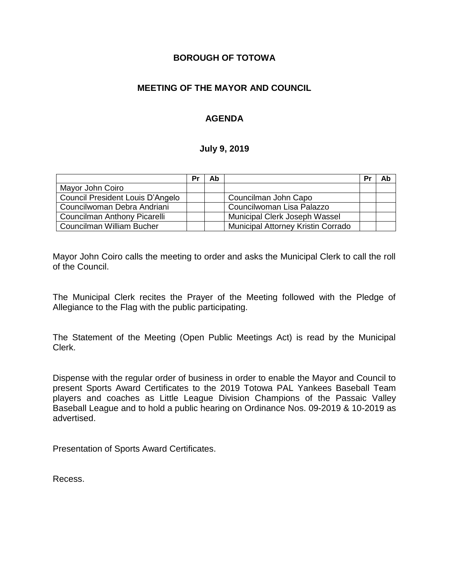#### **BOROUGH OF TOTOWA**

## **MEETING OF THE MAYOR AND COUNCIL**

## **AGENDA**

#### **July 9, 2019**

|                                  | Pr | Ab |                                    | Pr | Ab |
|----------------------------------|----|----|------------------------------------|----|----|
| Mayor John Coiro                 |    |    |                                    |    |    |
| Council President Louis D'Angelo |    |    | Councilman John Capo               |    |    |
| Councilwoman Debra Andriani      |    |    | Councilwoman Lisa Palazzo          |    |    |
| Councilman Anthony Picarelli     |    |    | Municipal Clerk Joseph Wassel      |    |    |
| Councilman William Bucher        |    |    | Municipal Attorney Kristin Corrado |    |    |

Mayor John Coiro calls the meeting to order and asks the Municipal Clerk to call the roll of the Council.

The Municipal Clerk recites the Prayer of the Meeting followed with the Pledge of Allegiance to the Flag with the public participating.

The Statement of the Meeting (Open Public Meetings Act) is read by the Municipal Clerk.

Dispense with the regular order of business in order to enable the Mayor and Council to present Sports Award Certificates to the 2019 Totowa PAL Yankees Baseball Team players and coaches as Little League Division Champions of the Passaic Valley Baseball League and to hold a public hearing on Ordinance Nos. 09-2019 & 10-2019 as advertised.

Presentation of Sports Award Certificates.

Recess.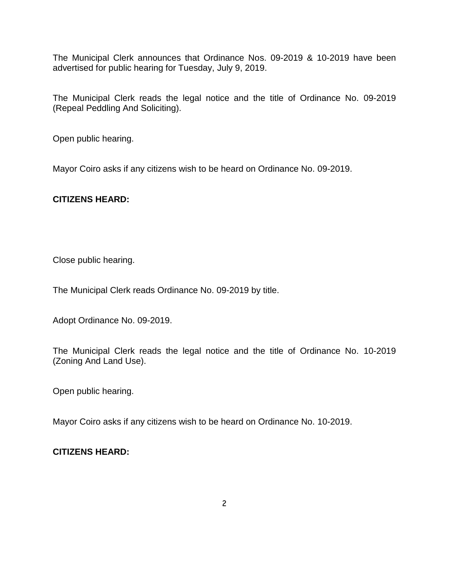The Municipal Clerk announces that Ordinance Nos. 09-2019 & 10-2019 have been advertised for public hearing for Tuesday, July 9, 2019.

The Municipal Clerk reads the legal notice and the title of Ordinance No. 09-2019 (Repeal Peddling And Soliciting).

Open public hearing.

Mayor Coiro asks if any citizens wish to be heard on Ordinance No. 09-2019.

## **CITIZENS HEARD:**

Close public hearing.

The Municipal Clerk reads Ordinance No. 09-2019 by title.

Adopt Ordinance No. 09-2019.

The Municipal Clerk reads the legal notice and the title of Ordinance No. 10-2019 (Zoning And Land Use).

Open public hearing.

Mayor Coiro asks if any citizens wish to be heard on Ordinance No. 10-2019.

# **CITIZENS HEARD:**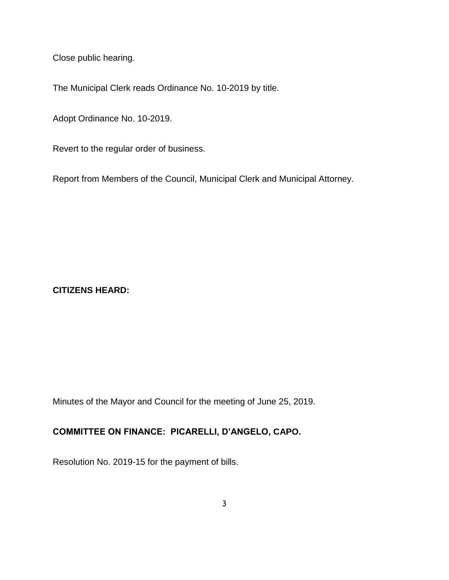Close public hearing.

The Municipal Clerk reads Ordinance No. 10-2019 by title.

Adopt Ordinance No. 10-2019.

Revert to the regular order of business.

Report from Members of the Council, Municipal Clerk and Municipal Attorney.

## **CITIZENS HEARD:**

Minutes of the Mayor and Council for the meeting of June 25, 2019.

# **COMMITTEE ON FINANCE: PICARELLI, D'ANGELO, CAPO.**

Resolution No. 2019-15 for the payment of bills.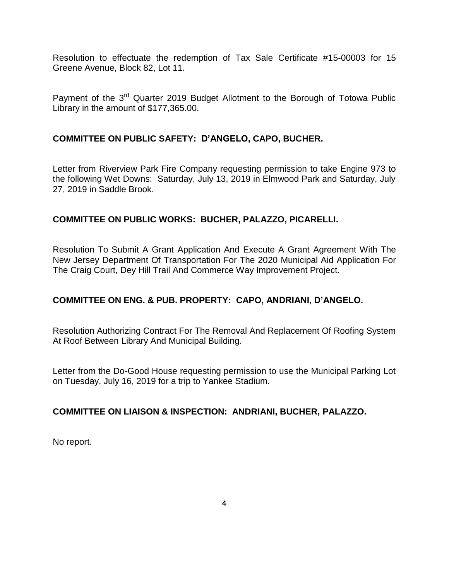Resolution to effectuate the redemption of Tax Sale Certificate #15-00003 for 15 Greene Avenue, Block 82, Lot 11.

Payment of the 3<sup>rd</sup> Quarter 2019 Budget Allotment to the Borough of Totowa Public Library in the amount of \$177,365.00.

## **COMMITTEE ON PUBLIC SAFETY: D'ANGELO, CAPO, BUCHER.**

Letter from Riverview Park Fire Company requesting permission to take Engine 973 to the following Wet Downs: Saturday, July 13, 2019 in Elmwood Park and Saturday, July 27, 2019 in Saddle Brook.

## **COMMITTEE ON PUBLIC WORKS: BUCHER, PALAZZO, PICARELLI.**

Resolution To Submit A Grant Application And Execute A Grant Agreement With The New Jersey Department Of Transportation For The 2020 Municipal Aid Application For The Craig Court, Dey Hill Trail And Commerce Way Improvement Project.

# **COMMITTEE ON ENG. & PUB. PROPERTY: CAPO, ANDRIANI, D'ANGELO.**

Resolution Authorizing Contract For The Removal And Replacement Of Roofing System At Roof Between Library And Municipal Building.

Letter from the Do-Good House requesting permission to use the Municipal Parking Lot on Tuesday, July 16, 2019 for a trip to Yankee Stadium.

#### **COMMITTEE ON LIAISON & INSPECTION: ANDRIANI, BUCHER, PALAZZO.**

No report.